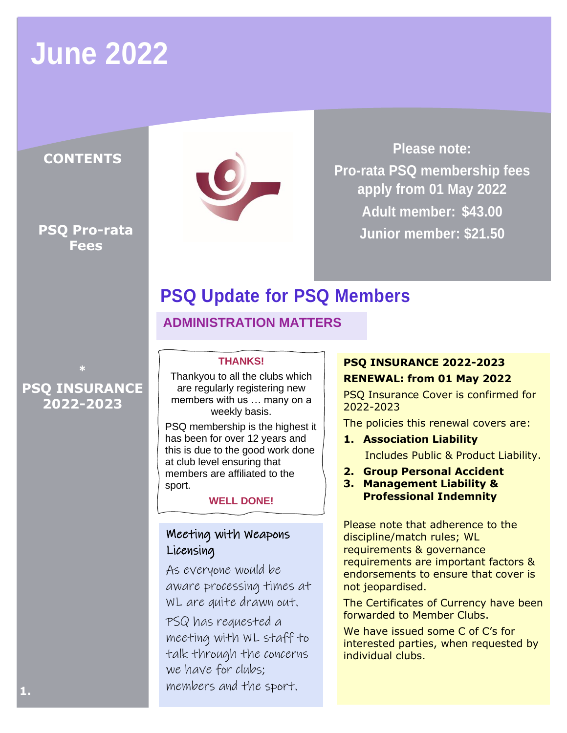## **June 2022**

### **CONTENTS**

**PSQ Pro-rata Fees**



**Please note: Pro-rata PSQ membership fees apply from 01 May 2022 Adult member: \$43.00 Junior member: \$21.50**

## **PSQ Update for PSQ Members**

**ADMINISTRATION MATTERS**

#### **THANKS!**

Thankyou to all the clubs which are regularly registering new members with us … many on a weekly basis.

PSQ membership is the highest it has been for over 12 years and this is due to the good work done at club level ensuring that members are affiliated to the sport.

**WELL DONE!**

### Meeting with Weapons Licensing

As everyone would be aware processing times at WL are quite drawn out. PSQ has requested a

meeting with WL staff to talk through the concerns we have for clubs; members and the sport.

#### **PSQ INSURANCE 2022-2023**

#### **RENEWAL: from 01 May 2022**

PSQ Insurance Cover is confirmed for 2022-2023

The policies this renewal covers are:

- **1. Association Liability** Includes Public & Product Liability.
- **2. Group Personal Accident**
- **3. Management Liability & Professional Indemnity**

Please note that adherence to the discipline/match rules; WL requirements & governance requirements are important factors & endorsements to ensure that cover is not jeopardised.

The Certificates of Currency have been forwarded to Member Clubs.

We have issued some C of C's for interested parties, when requested by individual clubs.

**PSQ INSURANCE 2022-2023**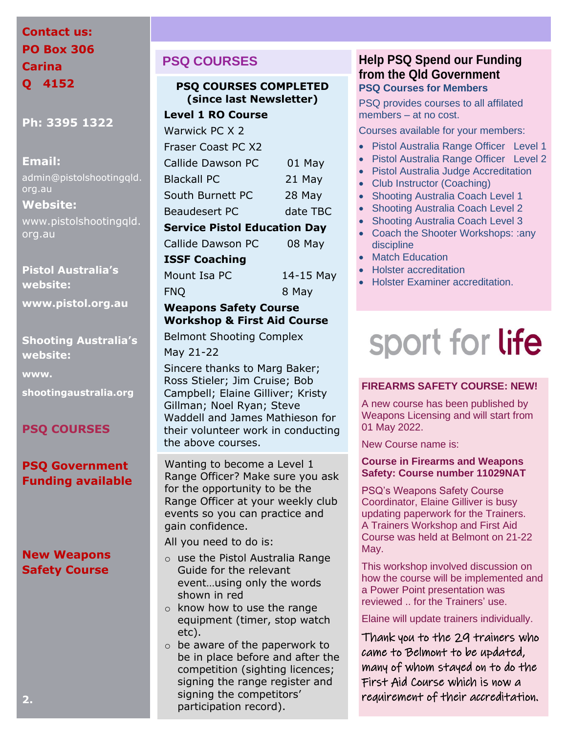## **Contact us: PO Box 306 Carina Q 4152**

**Ph: 3395 1322**

#### **Email:**

admin@pistolshootingqld. org.au

#### **Website:**

www.pistolshootingqld. org.au

**Pistol Australia's website: www.pistol.org.au**

**Shooting Australia's website:**

**www.**

**shootingaustralia.org**

#### **PSQ COURSES**

#### **PSQ Government Funding available**

### **New Weapons Safety Course**

## **PSQ COURSES**

#### **PSQ COURSES COMPLETED (since last Newsletter)**

#### **Level 1 RO Course**

| Warwick PC X 2                      |          |  |
|-------------------------------------|----------|--|
| Fraser Coast PC X2                  |          |  |
| Callide Dawson PC                   | 01 May   |  |
| <b>Blackall PC</b>                  | 21 May   |  |
| South Burnett PC                    | 28 May   |  |
| <b>Beaudesert PC</b>                | date TBC |  |
| <b>Service Pistol Education Day</b> |          |  |
| Callide Dawson PC                   | 08 May   |  |
|                                     |          |  |

#### **ISSF Coaching**

Mount Isa PC 14-15 May FNQ 8 May

#### **Weapons Safety Course Workshop & First Aid Course**

Belmont Shooting Complex

May 21-22

Sincere thanks to Marg Baker; Ross Stieler; Jim Cruise; Bob Campbell; Elaine Gilliver; Kristy Gillman; Noel Ryan; Steve Waddell and James Mathieson for their volunteer work in conducting the above courses.

Wanting to become a Level 1 Range Officer? Make sure you ask for the opportunity to be the Range Officer at your weekly club events so you can practice and gain confidence.

All you need to do is:

- o use the Pistol Australia Range Guide for the relevant event…using only the words shown in red
- o know how to use the range equipment (timer, stop watch etc).
- $\circ$  be aware of the paperwork to be in place before and after the competition (sighting licences; signing the range register and signing the competitors' participation record).

#### **Help PSQ Spend our Funding from the Qld Government PSQ Courses for Members**

PSQ provides courses to all affilated members – at no cost.

Courses available for your members:

- Pistol Australia Range Officer Level 1
- Pistol Australia Range Officer Level 2
- Pistol Australia Judge Accreditation
- Club Instructor (Coaching)
- Shooting Australia Coach Level 1
- Shooting Australia Coach Level 2
- Shooting Australia Coach Level 3
- Coach the Shooter Workshops: : any discipline
- Match Education
- Holster accreditation
- Holster Examiner accreditation.

# sport for life

#### **FIREARMS SAFETY COURSE: NEW!**

A new course has been published by Weapons Licensing and will start from 01 May 2022.

New Course name is:

#### **Course in Firearms and Weapons Safety: Course number 11029NAT**

PSQ's Weapons Safety Course Coordinator, Elaine Gilliver is busy updating paperwork for the Trainers. A Trainers Workshop and First Aid Course was held at Belmont on 21-22 May.

This workshop involved discussion on how the course will be implemented and a Power Point presentation was reviewed .. for the Trainers' use.

Elaine will update trainers individually.

Thank you to the 29 trainers who came to Belmont to be updated, many of whom stayed on to do the First Aid Course which is now a requirement of their accreditation.

**2.**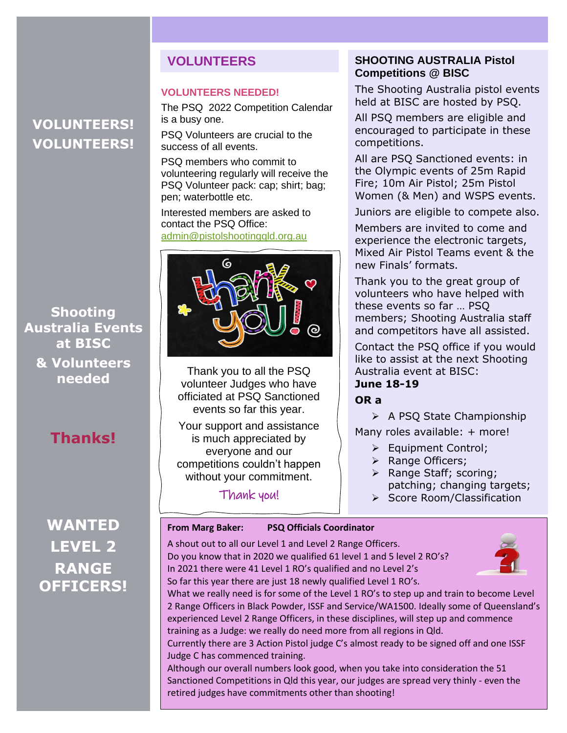## **VOLUNTEERS! VOLUNTEERS!**

**Shooting Australia Events at BISC & Volunteers needed**

## **Thanks!**

## **WANTED LEVEL 2 RANGE OFFICERS!**

### **VOLUNTEERS**

#### **VOLUNTEERS NEEDED!**

The PSQ 2022 Competition Calendar is a busy one.

PSQ Volunteers are crucial to the success of all events.

PSQ members who commit to volunteering regularly will receive the PSQ Volunteer pack: cap; shirt; bag; pen; waterbottle etc.

Interested members are asked to contact the PSQ Office: [admin@pistolshootingqld.org.au](mailto:admin@pistolshootingqld.org.au)



Thank you to all the PSQ volunteer Judges who have officiated at PSQ Sanctioned events so far this year.

Your support and assistance is much appreciated by everyone and our competitions couldn't happen without your commitment.

Thank you!

#### **SHOOTING AUSTRALIA Pistol Competitions @ BISC**

The Shooting Australia pistol events held at BISC are hosted by PSQ.

All PSQ members are eligible and encouraged to participate in these competitions.

All are PSQ Sanctioned events: in the Olympic events of 25m Rapid Fire; 10m Air Pistol; 25m Pistol Women (& Men) and WSPS events.

Juniors are eligible to compete also.

Members are invited to come and experience the electronic targets, Mixed Air Pistol Teams event & the new Finals' formats.

Thank you to the great group of volunteers who have helped with these events so far … PSQ members; Shooting Australia staff and competitors have all assisted.

Contact the PSQ office if you would like to assist at the next Shooting Australia event at BISC: **June 18-19**

#### **OR a**

➢ A PSQ State Championship

Many roles available: + more!

- ➢ Equipment Control;
- ➢ Range Officers;
- ➢ Range Staff; scoring; patching; changing targets;
- ➢ Score Room/Classification

#### **From Marg Baker: PSQ Officials Coordinator**

A shout out to all our Level 1 and Level 2 Range Officers. Do you know that in 2020 we qualified 61 level 1 and 5 level 2 RO's? In 2021 there were 41 Level 1 RO's qualified and no Level 2's So far this year there are just 18 newly qualified Level 1 RO's.



What we really need is for some of the Level 1 RO's to step up and train to become Level 2 Range Officers in Black Powder, ISSF and Service/WA1500. Ideally some of Queensland's experienced Level 2 Range Officers, in these disciplines, will step up and commence training as a Judge: we really do need more from all regions in Qld.

Currently there are 3 Action Pistol judge C's almost ready to be signed off and one ISSF Judge C has commenced training.

Although our overall numbers look good, when you take into consideration the 51 Sanctioned Competitions in Qld this year, our judges are spread very thinly - even the retired judges have commitments other than shooting!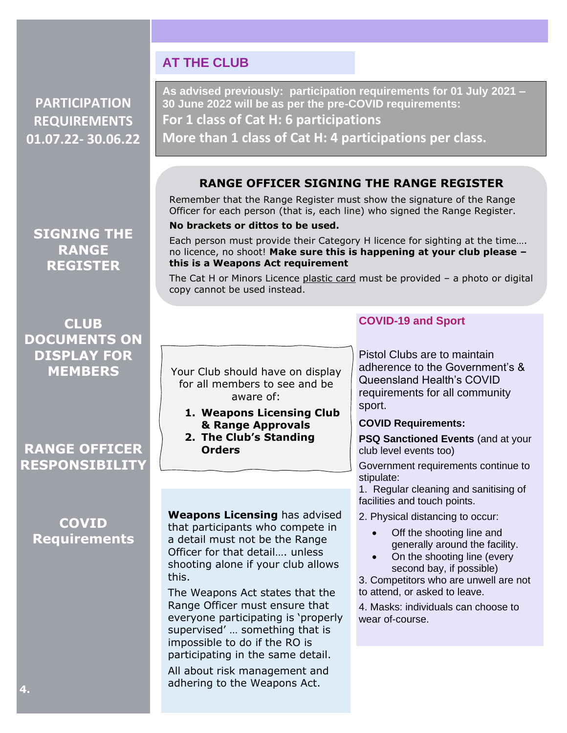## **PARTICIPATION REQUIREMENTS 01.07.22- 30.06.22**

**SIGNING THE RANGE REGISTER**

**CLUB DOCUMENTS ON DISPLAY FOR MEMBERS**

## **RANGE OFFICER RESPONSIBILITY**

## **COVID Requirements**

**As advised previously: participation requirements for 01 July 2021 – 30 June 2022 will be as per the pre-COVID requirements: For 1 class of Cat H: 6 participations More than 1 class of Cat H: 4 participations per class.**

#### **RANGE OFFICER SIGNING THE RANGE REGISTER**

Remember that the Range Register must show the signature of the Range Officer for each person (that is, each line) who signed the Range Register.

#### **No brackets or dittos to be used.**

**AT THE CLUB**

Each person must provide their Category H licence for sighting at the time…. no licence, no shoot! **Make sure this is happening at your club please – this is a Weapons Act requirement**

The Cat H or Minors Licence plastic card must be provided – a photo or digital copy cannot be used instead.

The Range Register must not be signed by non-shooters.

#### **COVID-19 and Sport**

Your Club should have on display for all members to see and be aware of:

- **1. Weapons Licensing Club & Range Approvals**
- **2. The Club's Standing Orders**

Pistol Clubs are to maintain adherence to the Government's & Queensland Health's COVID requirements for all community sport.

#### **COVID Requirements:**

**PSQ Sanctioned Events** (and at your club level events too)

Government requirements continue to stipulate:

1. Regular cleaning and sanitising of facilities and touch points.

2. Physical distancing to occur:

- Off the shooting line and generally around the facility.
- On the shooting line (every second bay, if possible)

3. Competitors who are unwell are not to attend, or asked to leave.

4. Masks: individuals can choose to wear of-course.

**Weapons Licensing** has advised that participants who compete in a detail must not be the Range Officer for that detail…. unless shooting alone if your club allows this.

The Weapons Act states that the Range Officer must ensure that everyone participating is 'properly supervised' … something that is impossible to do if the RO is participating in the same detail.

All about risk management and adhering to the Weapons Act.